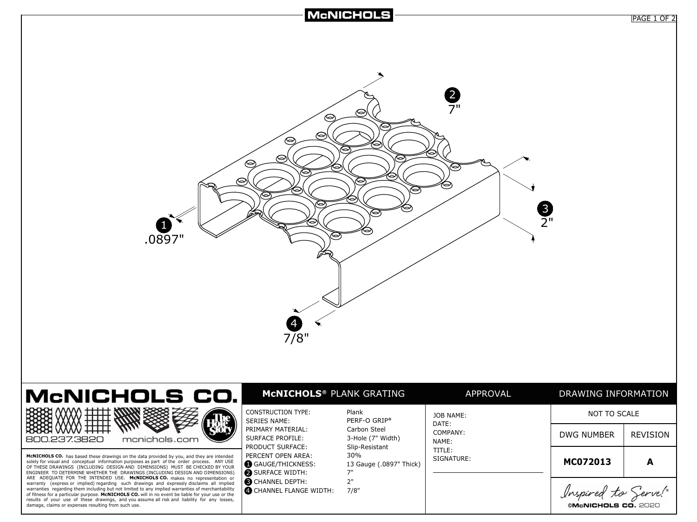